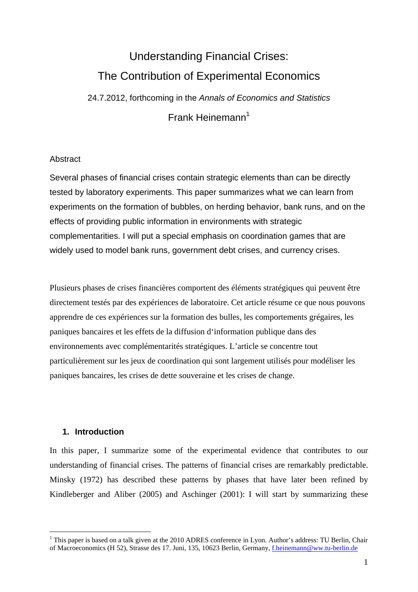# Understanding Financial Crises: The Contribution of Experimental Economics 24.7.2012, forthcoming in the *Annals of Economics and Statistics*

 $Frank Heinemann<sup>1</sup>$ 

## **Abstract**

Several phases of financial crises contain strategic elements than can be directly tested by laboratory experiments. This paper summarizes what we can learn from experiments on the formation of bubbles, on herding behavior, bank runs, and on the effects of providing public information in environments with strategic complementarities. I will put a special emphasis on coordination games that are widely used to model bank runs, government debt crises, and currency crises.

Plusieurs phases de crises financières comportent des éléments stratégiques qui peuvent être directement testés par des expériences de laboratoire. Cet article résume ce que nous pouvons apprendre de ces expériences sur la formation des bulles, les comportements grégaires, les paniques bancaires et les effets de la diffusion d'information publique dans des environnements avec complémentarités stratégiques. L'article se concentre tout particulièrement sur les jeux de coordination qui sont largement utilisés pour modéliser les paniques bancaires, les crises de dette souveraine et les crises de change.

## **1. Introduction**

1

In this paper, I summarize some of the experimental evidence that contributes to our understanding of financial crises. The patterns of financial crises are remarkably predictable. Minsky (1972) has described these patterns by phases that have later been refined by Kindleberger and Aliber (2005) and Aschinger (2001): I will start by summarizing these

<sup>&</sup>lt;sup>1</sup> This paper is based on a talk given at the 2010 ADRES conference in Lyon. Author's address: TU Berlin, Chair of Macroeconomics (H 52), Strasse des 17. Juni, 135, 10623 Berlin, Germany, f.heinemann@ww.tu-berlin.de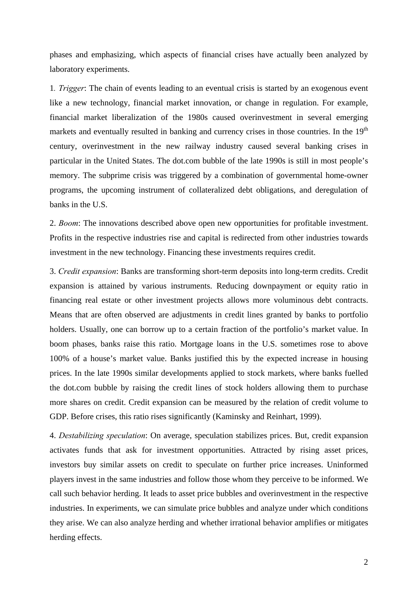phases and emphasizing, which aspects of financial crises have actually been analyzed by laboratory experiments.

1*. Trigger*: The chain of events leading to an eventual crisis is started by an exogenous event like a new technology, financial market innovation, or change in regulation. For example, financial market liberalization of the 1980s caused overinvestment in several emerging markets and eventually resulted in banking and currency crises in those countries. In the  $19<sup>th</sup>$ century, overinvestment in the new railway industry caused several banking crises in particular in the United States. The dot.com bubble of the late 1990s is still in most people's memory. The subprime crisis was triggered by a combination of governmental home-owner programs, the upcoming instrument of collateralized debt obligations, and deregulation of banks in the U.S.

2. *Boom*: The innovations described above open new opportunities for profitable investment. Profits in the respective industries rise and capital is redirected from other industries towards investment in the new technology. Financing these investments requires credit.

3. *Credit expansion*: Banks are transforming short-term deposits into long-term credits. Credit expansion is attained by various instruments. Reducing downpayment or equity ratio in financing real estate or other investment projects allows more voluminous debt contracts. Means that are often observed are adjustments in credit lines granted by banks to portfolio holders. Usually, one can borrow up to a certain fraction of the portfolio's market value. In boom phases, banks raise this ratio. Mortgage loans in the U.S. sometimes rose to above 100% of a house's market value. Banks justified this by the expected increase in housing prices. In the late 1990s similar developments applied to stock markets, where banks fuelled the dot.com bubble by raising the credit lines of stock holders allowing them to purchase more shares on credit. Credit expansion can be measured by the relation of credit volume to GDP. Before crises, this ratio rises significantly (Kaminsky and Reinhart, 1999).

4. *Destabilizing speculation*: On average, speculation stabilizes prices. But, credit expansion activates funds that ask for investment opportunities. Attracted by rising asset prices, investors buy similar assets on credit to speculate on further price increases. Uninformed players invest in the same industries and follow those whom they perceive to be informed. We call such behavior herding. It leads to asset price bubbles and overinvestment in the respective industries. In experiments, we can simulate price bubbles and analyze under which conditions they arise. We can also analyze herding and whether irrational behavior amplifies or mitigates herding effects.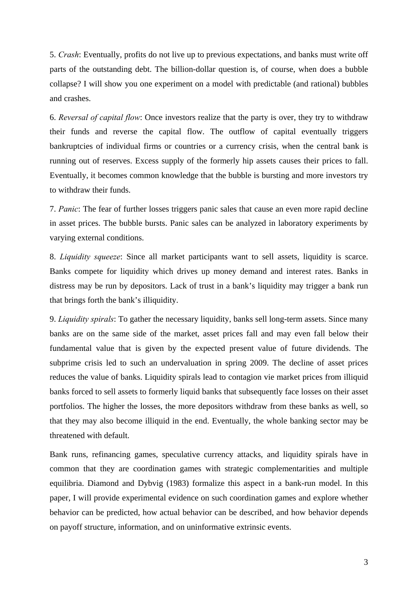5. *Crash*: Eventually, profits do not live up to previous expectations, and banks must write off parts of the outstanding debt. The billion-dollar question is, of course, when does a bubble collapse? I will show you one experiment on a model with predictable (and rational) bubbles and crashes.

6. *Reversal of capital flow*: Once investors realize that the party is over, they try to withdraw their funds and reverse the capital flow. The outflow of capital eventually triggers bankruptcies of individual firms or countries or a currency crisis, when the central bank is running out of reserves. Excess supply of the formerly hip assets causes their prices to fall. Eventually, it becomes common knowledge that the bubble is bursting and more investors try to withdraw their funds.

7. *Panic*: The fear of further losses triggers panic sales that cause an even more rapid decline in asset prices. The bubble bursts. Panic sales can be analyzed in laboratory experiments by varying external conditions.

8. *Liquidity squeeze*: Since all market participants want to sell assets, liquidity is scarce. Banks compete for liquidity which drives up money demand and interest rates. Banks in distress may be run by depositors. Lack of trust in a bank's liquidity may trigger a bank run that brings forth the bank's illiquidity.

9. *Liquidity spirals*: To gather the necessary liquidity, banks sell long-term assets. Since many banks are on the same side of the market, asset prices fall and may even fall below their fundamental value that is given by the expected present value of future dividends. The subprime crisis led to such an undervaluation in spring 2009. The decline of asset prices reduces the value of banks. Liquidity spirals lead to contagion vie market prices from illiquid banks forced to sell assets to formerly liquid banks that subsequently face losses on their asset portfolios. The higher the losses, the more depositors withdraw from these banks as well, so that they may also become illiquid in the end. Eventually, the whole banking sector may be threatened with default.

Bank runs, refinancing games, speculative currency attacks, and liquidity spirals have in common that they are coordination games with strategic complementarities and multiple equilibria. Diamond and Dybvig (1983) formalize this aspect in a bank-run model. In this paper, I will provide experimental evidence on such coordination games and explore whether behavior can be predicted, how actual behavior can be described, and how behavior depends on payoff structure, information, and on uninformative extrinsic events.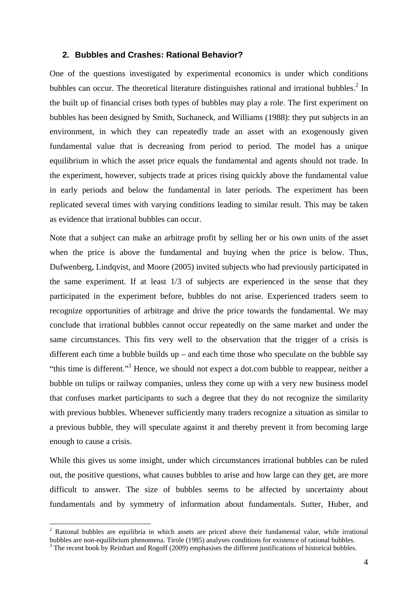## **2. Bubbles and Crashes: Rational Behavior?**

One of the questions investigated by experimental economics is under which conditions bubbles can occur. The theoretical literature distinguishes rational and irrational bubbles. $<sup>2</sup>$  In</sup> the built up of financial crises both types of bubbles may play a role. The first experiment on bubbles has been designed by Smith, Suchaneck, and Williams (1988): they put subjects in an environment, in which they can repeatedly trade an asset with an exogenously given fundamental value that is decreasing from period to period. The model has a unique equilibrium in which the asset price equals the fundamental and agents should not trade. In the experiment, however, subjects trade at prices rising quickly above the fundamental value in early periods and below the fundamental in later periods. The experiment has been replicated several times with varying conditions leading to similar result. This may be taken as evidence that irrational bubbles can occur.

Note that a subject can make an arbitrage profit by selling her or his own units of the asset when the price is above the fundamental and buying when the price is below. Thus, Dufwenberg, Lindqvist, and Moore (2005) invited subjects who had previously participated in the same experiment. If at least 1/3 of subjects are experienced in the sense that they participated in the experiment before, bubbles do not arise. Experienced traders seem to recognize opportunities of arbitrage and drive the price towards the fundamental. We may conclude that irrational bubbles cannot occur repeatedly on the same market and under the same circumstances. This fits very well to the observation that the trigger of a crisis is different each time a bubble builds  $up$  – and each time those who speculate on the bubble say "this time is different."<sup>3</sup> Hence, we should not expect a dot.com bubble to reappear, neither a bubble on tulips or railway companies, unless they come up with a very new business model that confuses market participants to such a degree that they do not recognize the similarity with previous bubbles. Whenever sufficiently many traders recognize a situation as similar to a previous bubble, they will speculate against it and thereby prevent it from becoming large enough to cause a crisis.

While this gives us some insight, under which circumstances irrational bubbles can be ruled out, the positive questions, what causes bubbles to arise and how large can they get, are more difficult to answer. The size of bubbles seems to be affected by uncertainty about fundamentals and by symmetry of information about fundamentals. Sutter, Huber, and

1

<sup>&</sup>lt;sup>2</sup> Rational bubbles are equilibria in which assets are priced above their fundamental value, while irrational bubbles are non-equilibrium phenomena. Tirole (1985) analyses conditions for existence of rational bubbles.

<sup>&</sup>lt;sup>3</sup> The recent book by Reinhart and Rogoff (2009) emphasises the different justifications of historical bubbles.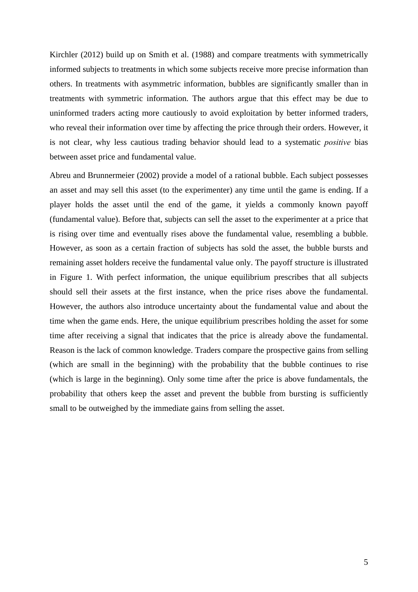Kirchler (2012) build up on Smith et al. (1988) and compare treatments with symmetrically informed subjects to treatments in which some subjects receive more precise information than others. In treatments with asymmetric information, bubbles are significantly smaller than in treatments with symmetric information. The authors argue that this effect may be due to uninformed traders acting more cautiously to avoid exploitation by better informed traders, who reveal their information over time by affecting the price through their orders. However, it is not clear, why less cautious trading behavior should lead to a systematic *positive* bias between asset price and fundamental value.

Abreu and Brunnermeier (2002) provide a model of a rational bubble. Each subject possesses an asset and may sell this asset (to the experimenter) any time until the game is ending. If a player holds the asset until the end of the game, it yields a commonly known payoff (fundamental value). Before that, subjects can sell the asset to the experimenter at a price that is rising over time and eventually rises above the fundamental value, resembling a bubble. However, as soon as a certain fraction of subjects has sold the asset, the bubble bursts and remaining asset holders receive the fundamental value only. The payoff structure is illustrated in Figure 1. With perfect information, the unique equilibrium prescribes that all subjects should sell their assets at the first instance, when the price rises above the fundamental. However, the authors also introduce uncertainty about the fundamental value and about the time when the game ends. Here, the unique equilibrium prescribes holding the asset for some time after receiving a signal that indicates that the price is already above the fundamental. Reason is the lack of common knowledge. Traders compare the prospective gains from selling (which are small in the beginning) with the probability that the bubble continues to rise (which is large in the beginning). Only some time after the price is above fundamentals, the probability that others keep the asset and prevent the bubble from bursting is sufficiently small to be outweighed by the immediate gains from selling the asset.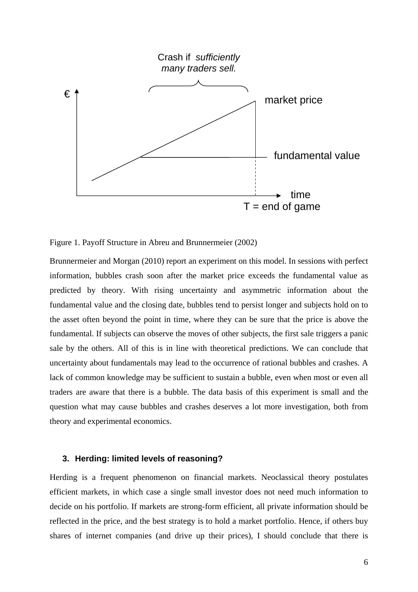

Figure 1. Payoff Structure in Abreu and Brunnermeier (2002)

Brunnermeier and Morgan (2010) report an experiment on this model. In sessions with perfect information, bubbles crash soon after the market price exceeds the fundamental value as predicted by theory. With rising uncertainty and asymmetric information about the fundamental value and the closing date, bubbles tend to persist longer and subjects hold on to the asset often beyond the point in time, where they can be sure that the price is above the fundamental. If subjects can observe the moves of other subjects, the first sale triggers a panic sale by the others. All of this is in line with theoretical predictions. We can conclude that uncertainty about fundamentals may lead to the occurrence of rational bubbles and crashes. A lack of common knowledge may be sufficient to sustain a bubble, even when most or even all traders are aware that there is a bubble. The data basis of this experiment is small and the question what may cause bubbles and crashes deserves a lot more investigation, both from theory and experimental economics.

#### **3. Herding: limited levels of reasoning?**

Herding is a frequent phenomenon on financial markets. Neoclassical theory postulates efficient markets, in which case a single small investor does not need much information to decide on his portfolio. If markets are strong-form efficient, all private information should be reflected in the price, and the best strategy is to hold a market portfolio. Hence, if others buy shares of internet companies (and drive up their prices), I should conclude that there is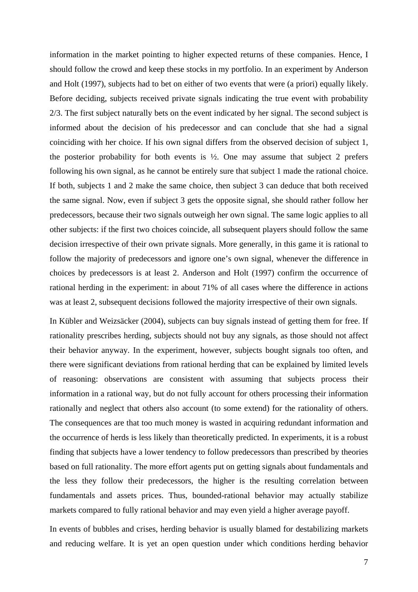information in the market pointing to higher expected returns of these companies. Hence, I should follow the crowd and keep these stocks in my portfolio. In an experiment by Anderson and Holt (1997), subjects had to bet on either of two events that were (a priori) equally likely. Before deciding, subjects received private signals indicating the true event with probability 2/3. The first subject naturally bets on the event indicated by her signal. The second subject is informed about the decision of his predecessor and can conclude that she had a signal coinciding with her choice. If his own signal differs from the observed decision of subject 1, the posterior probability for both events is  $\frac{1}{2}$ . One may assume that subject 2 prefers following his own signal, as he cannot be entirely sure that subject 1 made the rational choice. If both, subjects 1 and 2 make the same choice, then subject 3 can deduce that both received the same signal. Now, even if subject 3 gets the opposite signal, she should rather follow her predecessors, because their two signals outweigh her own signal. The same logic applies to all other subjects: if the first two choices coincide, all subsequent players should follow the same decision irrespective of their own private signals. More generally, in this game it is rational to follow the majority of predecessors and ignore one's own signal, whenever the difference in choices by predecessors is at least 2. Anderson and Holt (1997) confirm the occurrence of rational herding in the experiment: in about 71% of all cases where the difference in actions was at least 2, subsequent decisions followed the majority irrespective of their own signals.

In Kübler and Weizsäcker (2004), subjects can buy signals instead of getting them for free. If rationality prescribes herding, subjects should not buy any signals, as those should not affect their behavior anyway. In the experiment, however, subjects bought signals too often, and there were significant deviations from rational herding that can be explained by limited levels of reasoning: observations are consistent with assuming that subjects process their information in a rational way, but do not fully account for others processing their information rationally and neglect that others also account (to some extend) for the rationality of others. The consequences are that too much money is wasted in acquiring redundant information and the occurrence of herds is less likely than theoretically predicted. In experiments, it is a robust finding that subjects have a lower tendency to follow predecessors than prescribed by theories based on full rationality. The more effort agents put on getting signals about fundamentals and the less they follow their predecessors, the higher is the resulting correlation between fundamentals and assets prices. Thus, bounded-rational behavior may actually stabilize markets compared to fully rational behavior and may even yield a higher average payoff.

In events of bubbles and crises, herding behavior is usually blamed for destabilizing markets and reducing welfare. It is yet an open question under which conditions herding behavior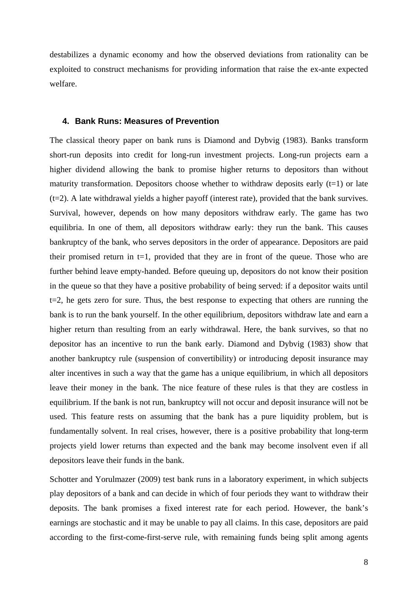destabilizes a dynamic economy and how the observed deviations from rationality can be exploited to construct mechanisms for providing information that raise the ex-ante expected welfare.

## **4. Bank Runs: Measures of Prevention**

The classical theory paper on bank runs is Diamond and Dybvig (1983). Banks transform short-run deposits into credit for long-run investment projects. Long-run projects earn a higher dividend allowing the bank to promise higher returns to depositors than without maturity transformation. Depositors choose whether to withdraw deposits early  $(t=1)$  or late (t=2). A late withdrawal yields a higher payoff (interest rate), provided that the bank survives. Survival, however, depends on how many depositors withdraw early. The game has two equilibria. In one of them, all depositors withdraw early: they run the bank. This causes bankruptcy of the bank, who serves depositors in the order of appearance. Depositors are paid their promised return in  $t=1$ , provided that they are in front of the queue. Those who are further behind leave empty-handed. Before queuing up, depositors do not know their position in the queue so that they have a positive probability of being served: if a depositor waits until  $t=2$ , he gets zero for sure. Thus, the best response to expecting that others are running the bank is to run the bank yourself. In the other equilibrium, depositors withdraw late and earn a higher return than resulting from an early withdrawal. Here, the bank survives, so that no depositor has an incentive to run the bank early. Diamond and Dybvig (1983) show that another bankruptcy rule (suspension of convertibility) or introducing deposit insurance may alter incentives in such a way that the game has a unique equilibrium, in which all depositors leave their money in the bank. The nice feature of these rules is that they are costless in equilibrium. If the bank is not run, bankruptcy will not occur and deposit insurance will not be used. This feature rests on assuming that the bank has a pure liquidity problem, but is fundamentally solvent. In real crises, however, there is a positive probability that long-term projects yield lower returns than expected and the bank may become insolvent even if all depositors leave their funds in the bank.

Schotter and Yorulmazer (2009) test bank runs in a laboratory experiment, in which subjects play depositors of a bank and can decide in which of four periods they want to withdraw their deposits. The bank promises a fixed interest rate for each period. However, the bank's earnings are stochastic and it may be unable to pay all claims. In this case, depositors are paid according to the first-come-first-serve rule, with remaining funds being split among agents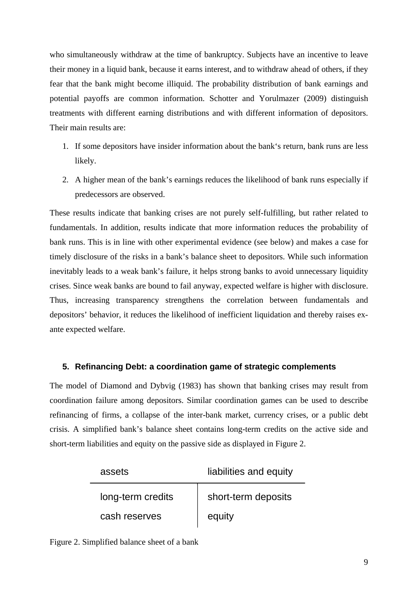who simultaneously withdraw at the time of bankruptcy. Subjects have an incentive to leave their money in a liquid bank, because it earns interest, and to withdraw ahead of others, if they fear that the bank might become illiquid. The probability distribution of bank earnings and potential payoffs are common information. Schotter and Yorulmazer (2009) distinguish treatments with different earning distributions and with different information of depositors. Their main results are:

- 1. If some depositors have insider information about the bank's return, bank runs are less likely.
- 2. A higher mean of the bank's earnings reduces the likelihood of bank runs especially if predecessors are observed.

These results indicate that banking crises are not purely self-fulfilling, but rather related to fundamentals. In addition, results indicate that more information reduces the probability of bank runs. This is in line with other experimental evidence (see below) and makes a case for timely disclosure of the risks in a bank's balance sheet to depositors. While such information inevitably leads to a weak bank's failure, it helps strong banks to avoid unnecessary liquidity crises. Since weak banks are bound to fail anyway, expected welfare is higher with disclosure. Thus, increasing transparency strengthens the correlation between fundamentals and depositors' behavior, it reduces the likelihood of inefficient liquidation and thereby raises exante expected welfare.

## **5. Refinancing Debt: a coordination game of strategic complements**

The model of Diamond and Dybvig (1983) has shown that banking crises may result from coordination failure among depositors. Similar coordination games can be used to describe refinancing of firms, a collapse of the inter-bank market, currency crises, or a public debt crisis. A simplified bank's balance sheet contains long-term credits on the active side and short-term liabilities and equity on the passive side as displayed in Figure 2.

| assets            | liabilities and equity |  |  |  |  |
|-------------------|------------------------|--|--|--|--|
| long-term credits | short-term deposits    |  |  |  |  |
| cash reserves     | equity                 |  |  |  |  |

Figure 2. Simplified balance sheet of a bank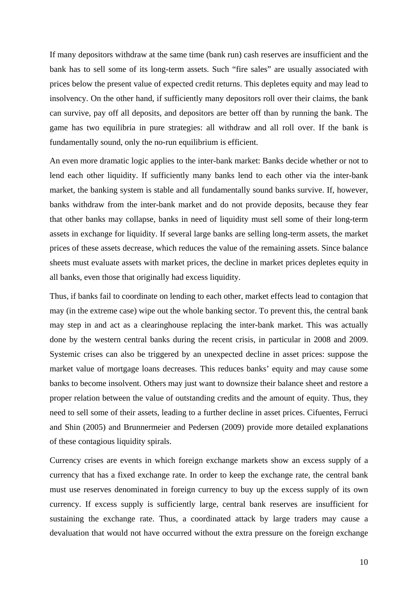If many depositors withdraw at the same time (bank run) cash reserves are insufficient and the bank has to sell some of its long-term assets. Such "fire sales" are usually associated with prices below the present value of expected credit returns. This depletes equity and may lead to insolvency. On the other hand, if sufficiently many depositors roll over their claims, the bank can survive, pay off all deposits, and depositors are better off than by running the bank. The game has two equilibria in pure strategies: all withdraw and all roll over. If the bank is fundamentally sound, only the no-run equilibrium is efficient.

An even more dramatic logic applies to the inter-bank market: Banks decide whether or not to lend each other liquidity. If sufficiently many banks lend to each other via the inter-bank market, the banking system is stable and all fundamentally sound banks survive. If, however, banks withdraw from the inter-bank market and do not provide deposits, because they fear that other banks may collapse, banks in need of liquidity must sell some of their long-term assets in exchange for liquidity. If several large banks are selling long-term assets, the market prices of these assets decrease, which reduces the value of the remaining assets. Since balance sheets must evaluate assets with market prices, the decline in market prices depletes equity in all banks, even those that originally had excess liquidity.

Thus, if banks fail to coordinate on lending to each other, market effects lead to contagion that may (in the extreme case) wipe out the whole banking sector. To prevent this, the central bank may step in and act as a clearinghouse replacing the inter-bank market. This was actually done by the western central banks during the recent crisis, in particular in 2008 and 2009. Systemic crises can also be triggered by an unexpected decline in asset prices: suppose the market value of mortgage loans decreases. This reduces banks' equity and may cause some banks to become insolvent. Others may just want to downsize their balance sheet and restore a proper relation between the value of outstanding credits and the amount of equity. Thus, they need to sell some of their assets, leading to a further decline in asset prices. Cifuentes, Ferruci and Shin (2005) and Brunnermeier and Pedersen (2009) provide more detailed explanations of these contagious liquidity spirals.

Currency crises are events in which foreign exchange markets show an excess supply of a currency that has a fixed exchange rate. In order to keep the exchange rate, the central bank must use reserves denominated in foreign currency to buy up the excess supply of its own currency. If excess supply is sufficiently large, central bank reserves are insufficient for sustaining the exchange rate. Thus, a coordinated attack by large traders may cause a devaluation that would not have occurred without the extra pressure on the foreign exchange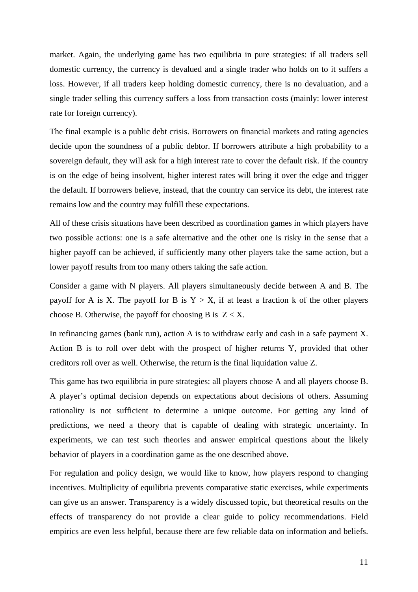market. Again, the underlying game has two equilibria in pure strategies: if all traders sell domestic currency, the currency is devalued and a single trader who holds on to it suffers a loss. However, if all traders keep holding domestic currency, there is no devaluation, and a single trader selling this currency suffers a loss from transaction costs (mainly: lower interest rate for foreign currency).

The final example is a public debt crisis. Borrowers on financial markets and rating agencies decide upon the soundness of a public debtor. If borrowers attribute a high probability to a sovereign default, they will ask for a high interest rate to cover the default risk. If the country is on the edge of being insolvent, higher interest rates will bring it over the edge and trigger the default. If borrowers believe, instead, that the country can service its debt, the interest rate remains low and the country may fulfill these expectations.

All of these crisis situations have been described as coordination games in which players have two possible actions: one is a safe alternative and the other one is risky in the sense that a higher payoff can be achieved, if sufficiently many other players take the same action, but a lower payoff results from too many others taking the safe action.

Consider a game with N players. All players simultaneously decide between A and B. The payoff for A is X. The payoff for B is  $Y > X$ , if at least a fraction k of the other players choose B. Otherwise, the payoff for choosing B is  $Z \le X$ .

In refinancing games (bank run), action A is to withdraw early and cash in a safe payment X. Action B is to roll over debt with the prospect of higher returns Y, provided that other creditors roll over as well. Otherwise, the return is the final liquidation value Z.

This game has two equilibria in pure strategies: all players choose A and all players choose B. A player's optimal decision depends on expectations about decisions of others. Assuming rationality is not sufficient to determine a unique outcome. For getting any kind of predictions, we need a theory that is capable of dealing with strategic uncertainty. In experiments, we can test such theories and answer empirical questions about the likely behavior of players in a coordination game as the one described above.

For regulation and policy design, we would like to know, how players respond to changing incentives. Multiplicity of equilibria prevents comparative static exercises, while experiments can give us an answer. Transparency is a widely discussed topic, but theoretical results on the effects of transparency do not provide a clear guide to policy recommendations. Field empirics are even less helpful, because there are few reliable data on information and beliefs.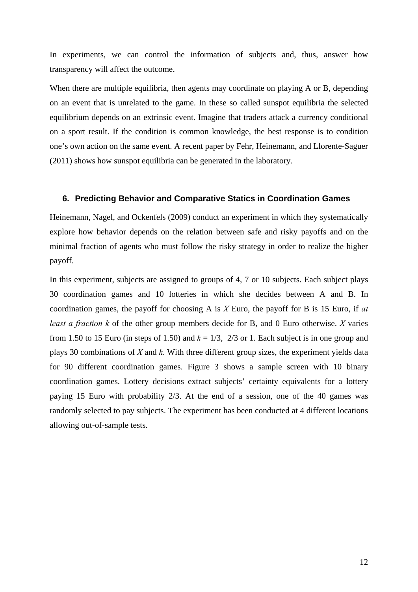In experiments, we can control the information of subjects and, thus, answer how transparency will affect the outcome.

When there are multiple equilibria, then agents may coordinate on playing A or B, depending on an event that is unrelated to the game. In these so called sunspot equilibria the selected equilibrium depends on an extrinsic event. Imagine that traders attack a currency conditional on a sport result. If the condition is common knowledge, the best response is to condition one's own action on the same event. A recent paper by Fehr, Heinemann, and Llorente-Saguer (2011) shows how sunspot equilibria can be generated in the laboratory.

#### **6. Predicting Behavior and Comparative Statics in Coordination Games**

Heinemann, Nagel, and Ockenfels (2009) conduct an experiment in which they systematically explore how behavior depends on the relation between safe and risky payoffs and on the minimal fraction of agents who must follow the risky strategy in order to realize the higher payoff.

In this experiment, subjects are assigned to groups of 4, 7 or 10 subjects. Each subject plays 30 coordination games and 10 lotteries in which she decides between A and B. In coordination games, the payoff for choosing A is *X* Euro, the payoff for B is 15 Euro, if *at least a fraction k* of the other group members decide for B, and 0 Euro otherwise. *X* varies from 1.50 to 15 Euro (in steps of 1.50) and  $k = 1/3$ , 2/3 or 1. Each subject is in one group and plays 30 combinations of *X* and *k*. With three different group sizes, the experiment yields data for 90 different coordination games. Figure 3 shows a sample screen with 10 binary coordination games. Lottery decisions extract subjects' certainty equivalents for a lottery paying 15 Euro with probability 2/3. At the end of a session, one of the 40 games was randomly selected to pay subjects. The experiment has been conducted at 4 different locations allowing out-of-sample tests.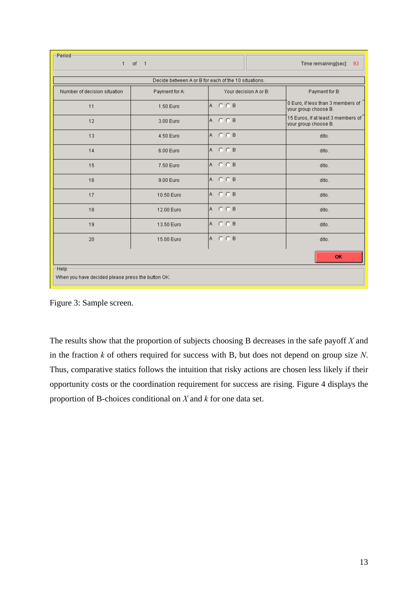| Period<br>0f<br>$\overline{1}$                       |                |                            |                                                                     |  |  |  |  |  |
|------------------------------------------------------|----------------|----------------------------|---------------------------------------------------------------------|--|--|--|--|--|
| $\mathbf{1}$                                         |                | Time remaining[sec]:<br>93 |                                                                     |  |  |  |  |  |
| Decide between A or B for each of the 10 situations. |                |                            |                                                                     |  |  |  |  |  |
| Number of decision situation                         | Payment for A: | Your decision A or B:      | Payment for B:                                                      |  |  |  |  |  |
| 11                                                   | 1.50 Euro      | $A$ $C$ $C$ $B$            | $\,$ 0 Euro, if less than 3 members of $\,$<br>your group choose B. |  |  |  |  |  |
| 12                                                   | 3.00 Euro      | A O O B                    | 15 Euros, if at least 3 members of<br>your group choose B.          |  |  |  |  |  |
| 13                                                   | 4.50 Euro      | A O O B                    | dito.                                                               |  |  |  |  |  |
| 14                                                   | 6.00 Euro      | $A$ $C$ $C$ $B$            | dito.                                                               |  |  |  |  |  |
| 15                                                   | 7.50 Euro      | А С С В                    | dito.                                                               |  |  |  |  |  |
| 16                                                   | 9.00 Euro      | A O O B                    | dito.                                                               |  |  |  |  |  |
| 17                                                   | 10.50 Euro     | $A$ $C$ $C$ $B$            | dito.                                                               |  |  |  |  |  |
| 18                                                   | 12.00 Euro     | А С С В                    | dito.                                                               |  |  |  |  |  |
| 19                                                   | 13.50 Euro     | A O O B                    | dito.                                                               |  |  |  |  |  |
| 20                                                   | 15.00 Euro     | A O O B                    | dito.                                                               |  |  |  |  |  |
|                                                      |                |                            | OK                                                                  |  |  |  |  |  |
| Help-                                                |                |                            |                                                                     |  |  |  |  |  |
| When you have decided please press the button OK.    |                |                            |                                                                     |  |  |  |  |  |

Figure 3: Sample screen.

The results show that the proportion of subjects choosing B decreases in the safe payoff *X* and in the fraction *k* of others required for success with B, but does not depend on group size *N*. Thus, comparative statics follows the intuition that risky actions are chosen less likely if their opportunity costs or the coordination requirement for success are rising. Figure 4 displays the proportion of B-choices conditional on *X* and *k* for one data set.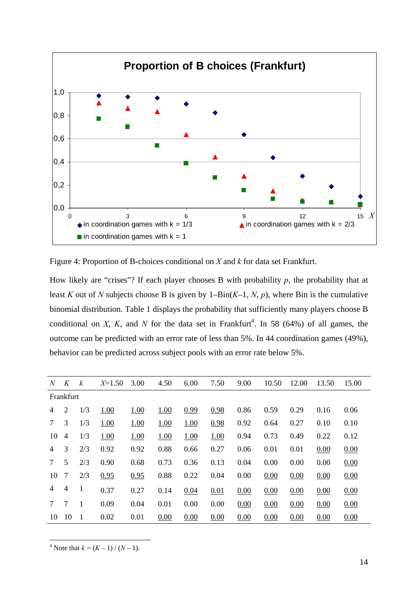

Figure 4: Proportion of B-choices conditional on *X* and *k* for data set Frankfurt.

How likely are "crises"? If each player chooses B with probability  $p$ , the probability that at least *K* out of *N* subjects choose B is given by 1–Bin(*K*–1, *N*, *p*), where Bin is the cumulative binomial distribution. Table 1 displays the probability that sufficiently many players choose B conditional on *X*, *K*, and *N* for the data set in Frankfurt<sup>4</sup>. In 58 (64%) of all games, the outcome can be predicted with an error rate of less than 5%. In 44 coordination games (49%), behavior can be predicted across subject pools with an error rate below 5%.

| N              | K               | $\boldsymbol{k}$ | $X=1.50$ | 3.00 | 4.50 | 6.00 | 7.50 | 9.00 | 10.50 | 12.00 | 13.50 | 15.00 |
|----------------|-----------------|------------------|----------|------|------|------|------|------|-------|-------|-------|-------|
| Frankfurt      |                 |                  |          |      |      |      |      |      |       |       |       |       |
| $\overline{4}$ | 2               | 1/3              | 1.00     | 1.00 | 1.00 | 0.99 | 0.98 | 0.86 | 0.59  | 0.29  | 0.16  | 0.06  |
| $\tau$         | 3               | 1/3              | 1.00     | 1.00 | 1.00 | 1.00 | 0.98 | 0.92 | 0.64  | 0.27  | 0.10  | 0.10  |
| 10             | 4               | 1/3              | 1.00     | 1.00 | 1.00 | 1.00 | 1.00 | 0.94 | 0.73  | 0.49  | 0.22  | 0.12  |
| $\overline{4}$ | 3               | 2/3              | 0.92     | 0.92 | 0.88 | 0.66 | 0.27 | 0.06 | 0.01  | 0.01  | 0.00  | 0.00  |
| $\tau$         | 5               | 2/3              | 0.90     | 0.68 | 0.73 | 0.36 | 0.13 | 0.04 | 0.00  | 0.00  | 0.00  | 0.00  |
| 10             | $7\phantom{.0}$ | 2/3              | 0.95     | 0.95 | 0.88 | 0.22 | 0.04 | 0.00 | 0.00  | 0.00  | 0.00  | 0.00  |
| $\overline{4}$ | $\overline{4}$  | $\mathbf{1}$     | 0.37     | 0.27 | 0.14 | 0.04 | 0.01 | 0.00 | 0.00  | 0.00  | 0.00  | 0.00  |
| $\tau$         | 7               | 1                | 0.09     | 0.04 | 0.01 | 0.00 | 0.00 | 0.00 | 0.00  | 0.00  | 0.00  | 0.00  |
| 10             | -10             | -1               | 0.02     | 0.01 | 0.00 | 0.00 | 0.00 | 0.00 | 0.00  | 0.00  | 0.00  | 0.00  |

<sup>4</sup> Note that  $k = (K - 1) / (N - 1)$ .

1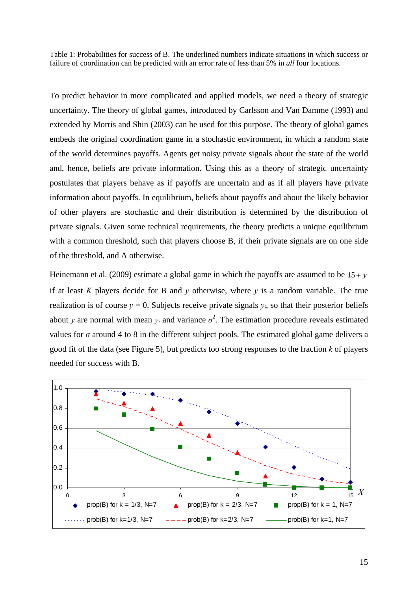Table 1: Probabilities for success of B. The underlined numbers indicate situations in which success or failure of coordination can be predicted with an error rate of less than 5% in *all* four locations.

To predict behavior in more complicated and applied models, we need a theory of strategic uncertainty. The theory of global games, introduced by Carlsson and Van Damme (1993) and extended by Morris and Shin (2003) can be used for this purpose. The theory of global games embeds the original coordination game in a stochastic environment, in which a random state of the world determines payoffs. Agents get noisy private signals about the state of the world and, hence, beliefs are private information. Using this as a theory of strategic uncertainty postulates that players behave as if payoffs are uncertain and as if all players have private information about payoffs. In equilibrium, beliefs about payoffs and about the likely behavior of other players are stochastic and their distribution is determined by the distribution of private signals. Given some technical requirements, the theory predicts a unique equilibrium with a common threshold, such that players choose B, if their private signals are on one side of the threshold, and A otherwise.

Heinemann et al. (2009) estimate a global game in which the payoffs are assumed to be  $15 + y$ if at least *K* players decide for B and  $\nu$  otherwise, where  $\nu$  is a random variable. The true realization is of course  $y = 0$ . Subjects receive private signals  $y_i$ , so that their posterior beliefs about *y* are normal with mean  $y_i$  and variance  $\sigma^2$ . The estimation procedure reveals estimated values for  $\sigma$  around 4 to 8 in the different subject pools. The estimated global game delivers a good fit of the data (see Figure 5), but predicts too strong responses to the fraction *k* of players needed for success with B.

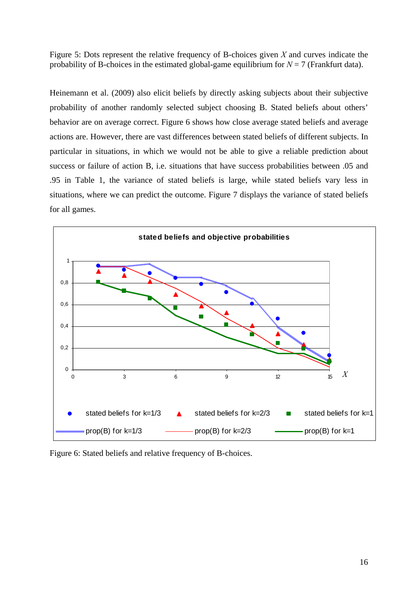Figure 5: Dots represent the relative frequency of B-choices given *X* and curves indicate the probability of B-choices in the estimated global-game equilibrium for  $N = 7$  (Frankfurt data).

Heinemann et al. (2009) also elicit beliefs by directly asking subjects about their subjective probability of another randomly selected subject choosing B. Stated beliefs about others' behavior are on average correct. Figure 6 shows how close average stated beliefs and average actions are. However, there are vast differences between stated beliefs of different subjects. In particular in situations, in which we would not be able to give a reliable prediction about success or failure of action B, i.e. situations that have success probabilities between .05 and .95 in Table 1, the variance of stated beliefs is large, while stated beliefs vary less in situations, where we can predict the outcome. Figure 7 displays the variance of stated beliefs for all games.



Figure 6: Stated beliefs and relative frequency of B-choices.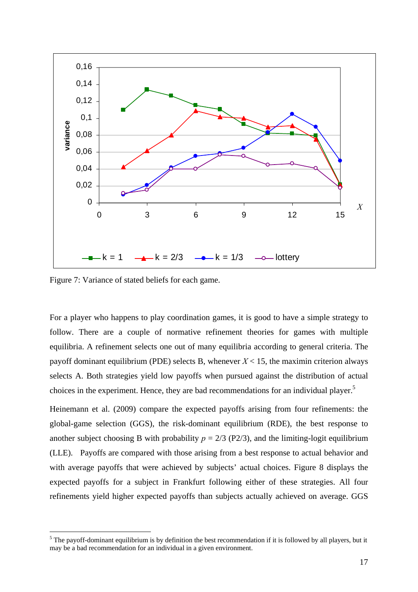

Figure 7: Variance of stated beliefs for each game.

1

For a player who happens to play coordination games, it is good to have a simple strategy to follow. There are a couple of normative refinement theories for games with multiple equilibria. A refinement selects one out of many equilibria according to general criteria. The payoff dominant equilibrium (PDE) selects B, whenever  $X < 15$ , the maximin criterion always selects A. Both strategies yield low payoffs when pursued against the distribution of actual choices in the experiment. Hence, they are bad recommendations for an individual player.<sup>5</sup>

Heinemann et al. (2009) compare the expected payoffs arising from four refinements: the global-game selection (GGS), the risk-dominant equilibrium (RDE), the best response to another subject choosing B with probability  $p = 2/3$  (P2/3), and the limiting-logit equilibrium (LLE). Payoffs are compared with those arising from a best response to actual behavior and with average payoffs that were achieved by subjects' actual choices. Figure 8 displays the expected payoffs for a subject in Frankfurt following either of these strategies. All four refinements yield higher expected payoffs than subjects actually achieved on average. GGS

 $<sup>5</sup>$  The payoff-dominant equilibrium is by definition the best recommendation if it is followed by all players, but it</sup> may be a bad recommendation for an individual in a given environment.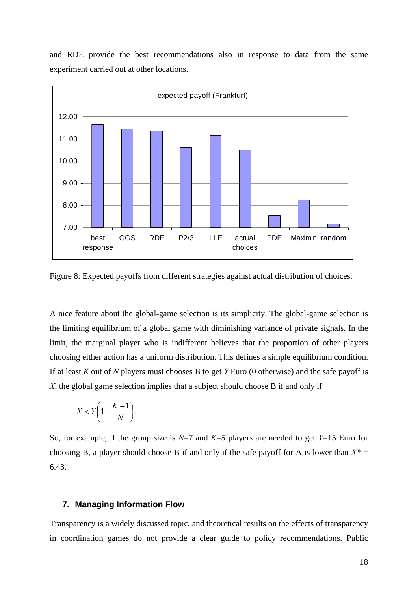and RDE provide the best recommendations also in response to data from the same experiment carried out at other locations.



Figure 8: Expected payoffs from different strategies against actual distribution of choices.

A nice feature about the global-game selection is its simplicity. The global-game selection is the limiting equilibrium of a global game with diminishing variance of private signals. In the limit, the marginal player who is indifferent believes that the proportion of other players choosing either action has a uniform distribution. This defines a simple equilibrium condition. If at least *K* out of *N* players must chooses B to get *Y* Euro (0 otherwise) and the safe payoff is *X*, the global game selection implies that a subject should choose B if and only if

$$
X < Y \bigg( 1 - \frac{K - 1}{N} \bigg).
$$

So, for example, if the group size is *N*=7 and *K*=5 players are needed to get *Y*=15 Euro for choosing B, a player should choose B if and only if the safe payoff for A is lower than  $X^*$  = 6.43.

## **7. Managing Information Flow**

Transparency is a widely discussed topic, and theoretical results on the effects of transparency in coordination games do not provide a clear guide to policy recommendations. Public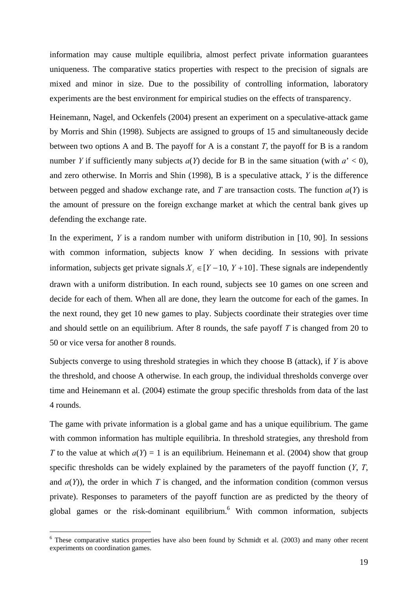information may cause multiple equilibria, almost perfect private information guarantees uniqueness. The comparative statics properties with respect to the precision of signals are mixed and minor in size. Due to the possibility of controlling information, laboratory experiments are the best environment for empirical studies on the effects of transparency.

Heinemann, Nagel, and Ockenfels (2004) present an experiment on a speculative-attack game by Morris and Shin (1998). Subjects are assigned to groups of 15 and simultaneously decide between two options A and B. The payoff for A is a constant *T*, the payoff for B is a random number *Y* if sufficiently many subjects  $a(Y)$  decide for B in the same situation (with  $a' < 0$ ), and zero otherwise. In Morris and Shin (1998), B is a speculative attack, *Y* is the difference between pegged and shadow exchange rate, and  $T$  are transaction costs. The function  $a(Y)$  is the amount of pressure on the foreign exchange market at which the central bank gives up defending the exchange rate.

In the experiment, *Y* is a random number with uniform distribution in [10, 90]. In sessions with common information, subjects know *Y* when deciding. In sessions with private information, subjects get private signals  $X_i \in [Y-10, Y+10]$ . These signals are independently drawn with a uniform distribution. In each round, subjects see 10 games on one screen and decide for each of them. When all are done, they learn the outcome for each of the games. In the next round, they get 10 new games to play. Subjects coordinate their strategies over time and should settle on an equilibrium. After 8 rounds, the safe payoff *T* is changed from 20 to 50 or vice versa for another 8 rounds.

Subjects converge to using threshold strategies in which they choose B (attack), if *Y* is above the threshold, and choose A otherwise. In each group, the individual thresholds converge over time and Heinemann et al. (2004) estimate the group specific thresholds from data of the last 4 rounds.

The game with private information is a global game and has a unique equilibrium. The game with common information has multiple equilibria. In threshold strategies, any threshold from *T* to the value at which  $a(Y) = 1$  is an equilibrium. Heinemann et al. (2004) show that group specific thresholds can be widely explained by the parameters of the payoff function (*Y*, *T*, and  $a(Y)$ ), the order in which *T* is changed, and the information condition (common versus private). Responses to parameters of the payoff function are as predicted by the theory of global games or the risk-dominant equilibrium.<sup>6</sup> With common information, subjects

1

 $6$  These comparative statics properties have also been found by Schmidt et al. (2003) and many other recent experiments on coordination games.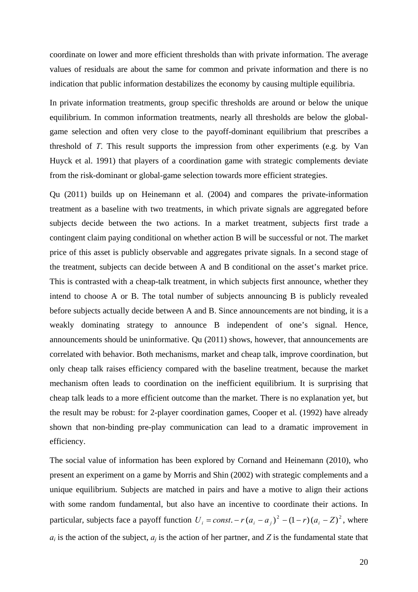coordinate on lower and more efficient thresholds than with private information. The average values of residuals are about the same for common and private information and there is no indication that public information destabilizes the economy by causing multiple equilibria.

In private information treatments, group specific thresholds are around or below the unique equilibrium. In common information treatments, nearly all thresholds are below the globalgame selection and often very close to the payoff-dominant equilibrium that prescribes a threshold of *T*. This result supports the impression from other experiments (e.g. by Van Huyck et al. 1991) that players of a coordination game with strategic complements deviate from the risk-dominant or global-game selection towards more efficient strategies.

Qu (2011) builds up on Heinemann et al. (2004) and compares the private-information treatment as a baseline with two treatments, in which private signals are aggregated before subjects decide between the two actions. In a market treatment, subjects first trade a contingent claim paying conditional on whether action B will be successful or not. The market price of this asset is publicly observable and aggregates private signals. In a second stage of the treatment, subjects can decide between A and B conditional on the asset's market price. This is contrasted with a cheap-talk treatment, in which subjects first announce, whether they intend to choose A or B. The total number of subjects announcing B is publicly revealed before subjects actually decide between A and B. Since announcements are not binding, it is a weakly dominating strategy to announce B independent of one's signal. Hence, announcements should be uninformative. Qu (2011) shows, however, that announcements are correlated with behavior. Both mechanisms, market and cheap talk, improve coordination, but only cheap talk raises efficiency compared with the baseline treatment, because the market mechanism often leads to coordination on the inefficient equilibrium. It is surprising that cheap talk leads to a more efficient outcome than the market. There is no explanation yet, but the result may be robust: for 2-player coordination games, Cooper et al. (1992) have already shown that non-binding pre-play communication can lead to a dramatic improvement in efficiency.

The social value of information has been explored by Cornand and Heinemann (2010), who present an experiment on a game by Morris and Shin (2002) with strategic complements and a unique equilibrium. Subjects are matched in pairs and have a motive to align their actions with some random fundamental, but also have an incentive to coordinate their actions. In particular, subjects face a payoff function  $U_i = const. - r (a_i - a_j)^2 - (1 - r) (a_i - Z)^2$ , where  $a_i$  is the action of the subject,  $a_i$  is the action of her partner, and *Z* is the fundamental state that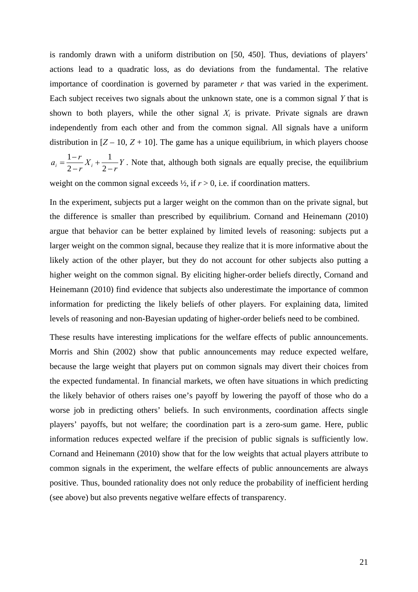is randomly drawn with a uniform distribution on [50, 450]. Thus, deviations of players' actions lead to a quadratic loss, as do deviations from the fundamental. The relative importance of coordination is governed by parameter *r* that was varied in the experiment. Each subject receives two signals about the unknown state, one is a common signal *Y* that is shown to both players, while the other signal  $X_i$  is private. Private signals are drawn independently from each other and from the common signal. All signals have a uniform distribution in  $[Z - 10, Z + 10]$ . The game has a unique equilibrium, in which players choose

*Y r X r*  $a_i = \frac{1-r}{2-r}X_i + \frac{1}{2-r}$ 2  $\frac{1-r}{2}X_i + \frac{1}{2}Y$ . Note that, although both signals are equally precise, the equilibrium weight on the common signal exceeds  $\frac{1}{2}$ , if  $r > 0$ , i.e. if coordination matters.

In the experiment, subjects put a larger weight on the common than on the private signal, but the difference is smaller than prescribed by equilibrium. Cornand and Heinemann (2010) argue that behavior can be better explained by limited levels of reasoning: subjects put a larger weight on the common signal, because they realize that it is more informative about the likely action of the other player, but they do not account for other subjects also putting a higher weight on the common signal. By eliciting higher-order beliefs directly, Cornand and Heinemann (2010) find evidence that subjects also underestimate the importance of common information for predicting the likely beliefs of other players. For explaining data, limited levels of reasoning and non-Bayesian updating of higher-order beliefs need to be combined.

These results have interesting implications for the welfare effects of public announcements. Morris and Shin (2002) show that public announcements may reduce expected welfare, because the large weight that players put on common signals may divert their choices from the expected fundamental. In financial markets, we often have situations in which predicting the likely behavior of others raises one's payoff by lowering the payoff of those who do a worse job in predicting others' beliefs. In such environments, coordination affects single players' payoffs, but not welfare; the coordination part is a zero-sum game. Here, public information reduces expected welfare if the precision of public signals is sufficiently low. Cornand and Heinemann (2010) show that for the low weights that actual players attribute to common signals in the experiment, the welfare effects of public announcements are always positive. Thus, bounded rationality does not only reduce the probability of inefficient herding (see above) but also prevents negative welfare effects of transparency.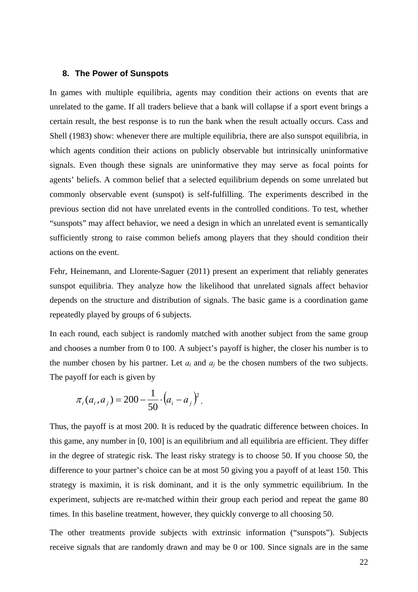## **8. The Power of Sunspots**

In games with multiple equilibria, agents may condition their actions on events that are unrelated to the game. If all traders believe that a bank will collapse if a sport event brings a certain result, the best response is to run the bank when the result actually occurs. Cass and Shell (1983) show: whenever there are multiple equilibria, there are also sunspot equilibria, in which agents condition their actions on publicly observable but intrinsically uninformative signals. Even though these signals are uninformative they may serve as focal points for agents' beliefs. A common belief that a selected equilibrium depends on some unrelated but commonly observable event (sunspot) is self-fulfilling. The experiments described in the previous section did not have unrelated events in the controlled conditions. To test, whether "sunspots" may affect behavior, we need a design in which an unrelated event is semantically sufficiently strong to raise common beliefs among players that they should condition their actions on the event.

Fehr, Heinemann, and Llorente-Saguer (2011) present an experiment that reliably generates sunspot equilibria. They analyze how the likelihood that unrelated signals affect behavior depends on the structure and distribution of signals. The basic game is a coordination game repeatedly played by groups of 6 subjects.

In each round, each subject is randomly matched with another subject from the same group and chooses a number from 0 to 100. A subject's payoff is higher, the closer his number is to the number chosen by his partner. Let  $a_i$  and  $a_j$  be the chosen numbers of the two subjects. The payoff for each is given by

$$
\pi_i(a_i, a_j) = 200 - \frac{1}{50} \cdot (a_i - a_j)^2.
$$

Thus, the payoff is at most 200. It is reduced by the quadratic difference between choices. In this game, any number in [0, 100] is an equilibrium and all equilibria are efficient. They differ in the degree of strategic risk. The least risky strategy is to choose 50. If you choose 50, the difference to your partner's choice can be at most 50 giving you a payoff of at least 150. This strategy is maximin, it is risk dominant, and it is the only symmetric equilibrium. In the experiment, subjects are re-matched within their group each period and repeat the game 80 times. In this baseline treatment, however, they quickly converge to all choosing 50.

The other treatments provide subjects with extrinsic information ("sunspots"). Subjects receive signals that are randomly drawn and may be 0 or 100. Since signals are in the same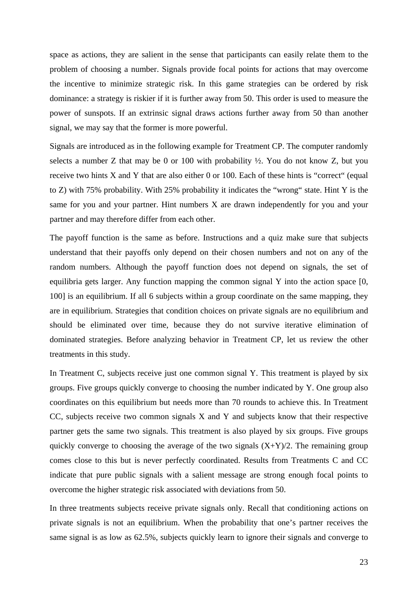space as actions, they are salient in the sense that participants can easily relate them to the problem of choosing a number. Signals provide focal points for actions that may overcome the incentive to minimize strategic risk. In this game strategies can be ordered by risk dominance: a strategy is riskier if it is further away from 50. This order is used to measure the power of sunspots. If an extrinsic signal draws actions further away from 50 than another signal, we may say that the former is more powerful.

Signals are introduced as in the following example for Treatment CP. The computer randomly selects a number Z that may be 0 or 100 with probability  $\frac{1}{2}$ . You do not know Z, but you receive two hints X and Y that are also either 0 or 100. Each of these hints is "correct" (equal to Z) with 75% probability. With 25% probability it indicates the "wrong" state. Hint Y is the same for you and your partner. Hint numbers X are drawn independently for you and your partner and may therefore differ from each other.

The payoff function is the same as before. Instructions and a quiz make sure that subjects understand that their payoffs only depend on their chosen numbers and not on any of the random numbers. Although the payoff function does not depend on signals, the set of equilibria gets larger. Any function mapping the common signal Y into the action space [0, 100] is an equilibrium. If all 6 subjects within a group coordinate on the same mapping, they are in equilibrium. Strategies that condition choices on private signals are no equilibrium and should be eliminated over time, because they do not survive iterative elimination of dominated strategies. Before analyzing behavior in Treatment CP, let us review the other treatments in this study.

In Treatment C, subjects receive just one common signal Y. This treatment is played by six groups. Five groups quickly converge to choosing the number indicated by Y. One group also coordinates on this equilibrium but needs more than 70 rounds to achieve this. In Treatment CC, subjects receive two common signals X and Y and subjects know that their respective partner gets the same two signals. This treatment is also played by six groups. Five groups quickly converge to choosing the average of the two signals  $(X+Y)/2$ . The remaining group comes close to this but is never perfectly coordinated. Results from Treatments C and CC indicate that pure public signals with a salient message are strong enough focal points to overcome the higher strategic risk associated with deviations from 50.

In three treatments subjects receive private signals only. Recall that conditioning actions on private signals is not an equilibrium. When the probability that one's partner receives the same signal is as low as 62.5%, subjects quickly learn to ignore their signals and converge to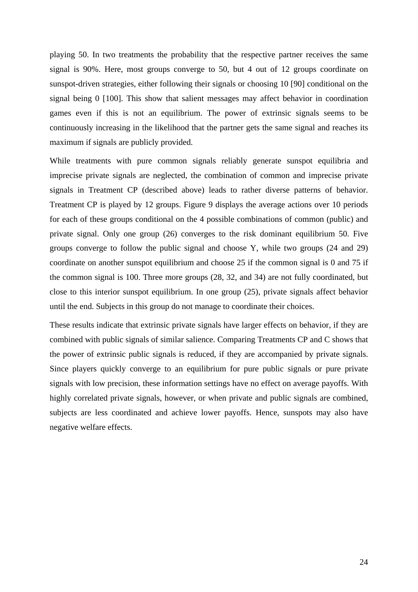playing 50. In two treatments the probability that the respective partner receives the same signal is 90%. Here, most groups converge to 50, but 4 out of 12 groups coordinate on sunspot-driven strategies, either following their signals or choosing 10 [90] conditional on the signal being 0 [100]. This show that salient messages may affect behavior in coordination games even if this is not an equilibrium. The power of extrinsic signals seems to be continuously increasing in the likelihood that the partner gets the same signal and reaches its maximum if signals are publicly provided.

While treatments with pure common signals reliably generate sunspot equilibria and imprecise private signals are neglected, the combination of common and imprecise private signals in Treatment CP (described above) leads to rather diverse patterns of behavior. Treatment CP is played by 12 groups. Figure 9 displays the average actions over 10 periods for each of these groups conditional on the 4 possible combinations of common (public) and private signal. Only one group (26) converges to the risk dominant equilibrium 50. Five groups converge to follow the public signal and choose Y, while two groups (24 and 29) coordinate on another sunspot equilibrium and choose 25 if the common signal is 0 and 75 if the common signal is 100. Three more groups (28, 32, and 34) are not fully coordinated, but close to this interior sunspot equilibrium. In one group (25), private signals affect behavior until the end. Subjects in this group do not manage to coordinate their choices.

These results indicate that extrinsic private signals have larger effects on behavior, if they are combined with public signals of similar salience. Comparing Treatments CP and C shows that the power of extrinsic public signals is reduced, if they are accompanied by private signals. Since players quickly converge to an equilibrium for pure public signals or pure private signals with low precision, these information settings have no effect on average payoffs. With highly correlated private signals, however, or when private and public signals are combined, subjects are less coordinated and achieve lower payoffs. Hence, sunspots may also have negative welfare effects.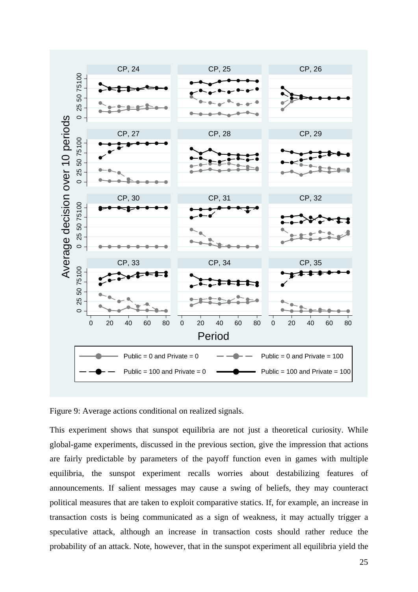

Figure 9: Average actions conditional on realized signals.

This experiment shows that sunspot equilibria are not just a theoretical curiosity. While global-game experiments, discussed in the previous section, give the impression that actions are fairly predictable by parameters of the payoff function even in games with multiple equilibria, the sunspot experiment recalls worries about destabilizing features of announcements. If salient messages may cause a swing of beliefs, they may counteract political measures that are taken to exploit comparative statics. If, for example, an increase in transaction costs is being communicated as a sign of weakness, it may actually trigger a speculative attack, although an increase in transaction costs should rather reduce the probability of an attack. Note, however, that in the sunspot experiment all equilibria yield the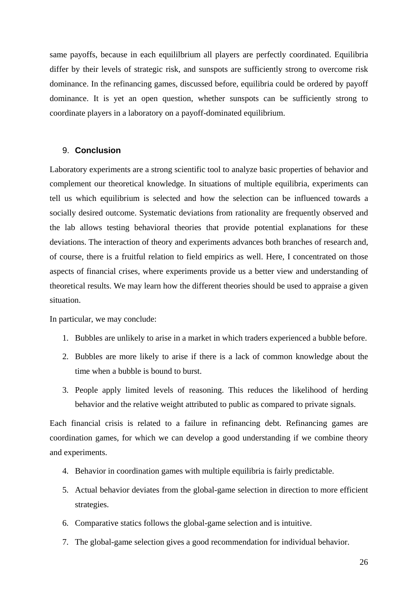same payoffs, because in each equililbrium all players are perfectly coordinated. Equilibria differ by their levels of strategic risk, and sunspots are sufficiently strong to overcome risk dominance. In the refinancing games, discussed before, equilibria could be ordered by payoff dominance. It is yet an open question, whether sunspots can be sufficiently strong to coordinate players in a laboratory on a payoff-dominated equilibrium.

## 9. **Conclusion**

Laboratory experiments are a strong scientific tool to analyze basic properties of behavior and complement our theoretical knowledge. In situations of multiple equilibria, experiments can tell us which equilibrium is selected and how the selection can be influenced towards a socially desired outcome. Systematic deviations from rationality are frequently observed and the lab allows testing behavioral theories that provide potential explanations for these deviations. The interaction of theory and experiments advances both branches of research and, of course, there is a fruitful relation to field empirics as well. Here, I concentrated on those aspects of financial crises, where experiments provide us a better view and understanding of theoretical results. We may learn how the different theories should be used to appraise a given situation.

In particular, we may conclude:

- 1. Bubbles are unlikely to arise in a market in which traders experienced a bubble before.
- 2. Bubbles are more likely to arise if there is a lack of common knowledge about the time when a bubble is bound to burst.
- 3. People apply limited levels of reasoning. This reduces the likelihood of herding behavior and the relative weight attributed to public as compared to private signals.

Each financial crisis is related to a failure in refinancing debt. Refinancing games are coordination games, for which we can develop a good understanding if we combine theory and experiments.

- 4. Behavior in coordination games with multiple equilibria is fairly predictable.
- 5. Actual behavior deviates from the global-game selection in direction to more efficient strategies.
- 6. Comparative statics follows the global-game selection and is intuitive.
- 7. The global-game selection gives a good recommendation for individual behavior.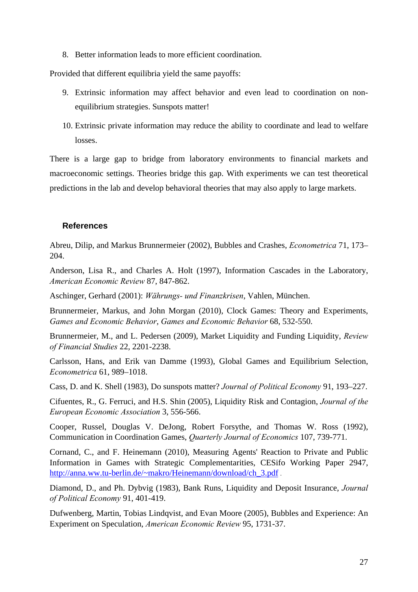8. Better information leads to more efficient coordination.

Provided that different equilibria yield the same payoffs:

- 9. Extrinsic information may affect behavior and even lead to coordination on nonequilibrium strategies. Sunspots matter!
- 10. Extrinsic private information may reduce the ability to coordinate and lead to welfare losses.

There is a large gap to bridge from laboratory environments to financial markets and macroeconomic settings. Theories bridge this gap. With experiments we can test theoretical predictions in the lab and develop behavioral theories that may also apply to large markets.

## **References**

Abreu, Dilip, and Markus Brunnermeier (2002), Bubbles and Crashes, *Econometrica* 71, 173– 204.

Anderson, Lisa R., and Charles A. Holt (1997), Information Cascades in the Laboratory, *American Economic Review* 87, 847-862.

Aschinger, Gerhard (2001): *Währungs- und Finanzkrisen*, Vahlen, München.

Brunnermeier, Markus, and John Morgan (2010), Clock Games: Theory and Experiments, *Games and Economic Behavior*, *Games and Economic Behavior* 68, 532-550.

Brunnermeier, M., and L. Pedersen (2009), Market Liquidity and Funding Liquidity, *Review of Financial Studies* 22, 2201-2238.

Carlsson, Hans, and Erik van Damme (1993), Global Games and Equilibrium Selection, *Econometrica* 61, 989–1018.

Cass, D. and K. Shell (1983), Do sunspots matter? *Journal of Political Economy* 91, 193–227.

Cifuentes, R., G. Ferruci, and H.S. Shin (2005), Liquidity Risk and Contagion, *Journal of the European Economic Association* 3, 556-566.

Cooper, Russel, Douglas V. DeJong, Robert Forsythe, and Thomas W. Ross (1992), Communication in Coordination Games, *Quarterly Journal of Economics* 107, 739-771.

Cornand, C., and F. Heinemann (2010), Measuring Agents' Reaction to Private and Public Information in Games with Strategic Complementarities, CESifo Working Paper 2947, http://anna.ww.tu-berlin.de/~makro/Heinemann/download/ch\_3.pdf .

Diamond, D., and Ph. Dybvig (1983), Bank Runs, Liquidity and Deposit Insurance, *Journal of Political Economy* 91, 401-419.

Dufwenberg, Martin, Tobias Lindqvist, and Evan Moore (2005), Bubbles and Experience: An Experiment on Speculation, *American Economic Review* 95, 1731-37.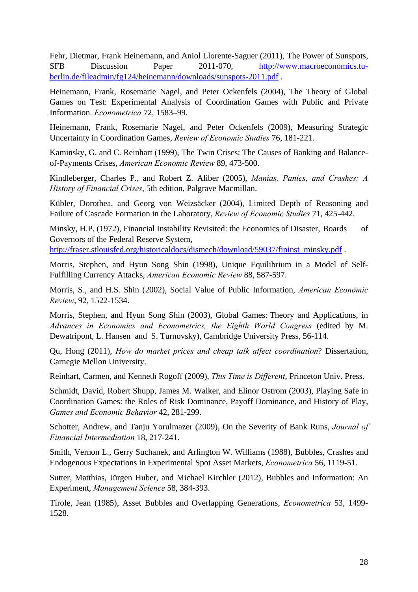Fehr, Dietmar, Frank Heinemann, and Aniol Llorente-Saguer (2011), The Power of Sunspots, SFB Discussion Paper 2011-070, http://www.macroeconomics.tuberlin.de/fileadmin/fg124/heinemann/downloads/sunspots-2011.pdf .

Heinemann, Frank, Rosemarie Nagel, and Peter Ockenfels (2004), The Theory of Global Games on Test: Experimental Analysis of Coordination Games with Public and Private Information. *Econometrica* 72, 1583–99.

Heinemann, Frank, Rosemarie Nagel, and Peter Ockenfels (2009), Measuring Strategic Uncertainty in Coordination Games, *Review of Economic Studies* 76, 181-221.

Kaminsky, G. and C. Reinhart (1999), The Twin Crises: The Causes of Banking and Balanceof-Payments Crises, *American Economic Review* 89, 473-500.

Kindleberger, Charles P., and Robert Z. Aliber (2005), *Manias, Panics, and Crashes: A History of Financial Crises*, 5th edition, Palgrave Macmillan.

Kübler, Dorothea, and Georg von Weizsäcker (2004), Limited Depth of Reasoning and Failure of Cascade Formation in the Laboratory, *Review of Economic Studies* 71, 425-442.

Minsky, H.P. (1972), Financial Instability Revisited: the Economics of Disaster, Boards of Governors of the Federal Reserve System,

http://fraser.stlouisfed.org/historicaldocs/dismech/download/59037/fininst\_minsky.pdf .

Morris, Stephen, and Hyun Song Shin (1998), Unique Equilibrium in a Model of Self-Fulfilling Currency Attacks, *American Economic Review* 88, 587-597.

Morris, S., and H.S. Shin (2002), Social Value of Public Information, *American Economic Review*, 92, 1522-1534.

Morris, Stephen, and Hyun Song Shin (2003), Global Games: Theory and Applications, in *Advances in Economics and Econometrics, the Eighth World Congress* (edited by M. Dewatripont, L. Hansen and S. Turnovsky), Cambridge University Press, 56-114.

Qu, Hong (2011), *How do market prices and cheap talk affect coordination*? Dissertation, Carnegie Mellon University.

Reinhart, Carmen, and Kenneth Rogoff (2009), *This Time is Different*, Princeton Univ. Press.

Schmidt, David, Robert Shupp, James M. Walker, and Elinor Ostrom (2003), Playing Safe in Coordination Games: the Roles of Risk Dominance, Payoff Dominance, and History of Play, *Games and Economic Behavior* 42, 281-299.

Schotter, Andrew, and Tanju Yorulmazer (2009), On the Severity of Bank Runs, *Journal of Financial Intermediation* 18, 217-241.

Smith, Vernon L., Gerry Suchanek, and Arlington W. Williams (1988), Bubbles, Crashes and Endogenous Expectations in Experimental Spot Asset Markets, *Econometrica* 56, 1119-51.

Sutter, Matthias, Jürgen Huber, and Michael Kirchler (2012), Bubbles and Information: An Experiment, *Management Science* 58, 384-393.

Tirole, Jean (1985), Asset Bubbles and Overlapping Generations, *Econometrica* 53, 1499- 1528.